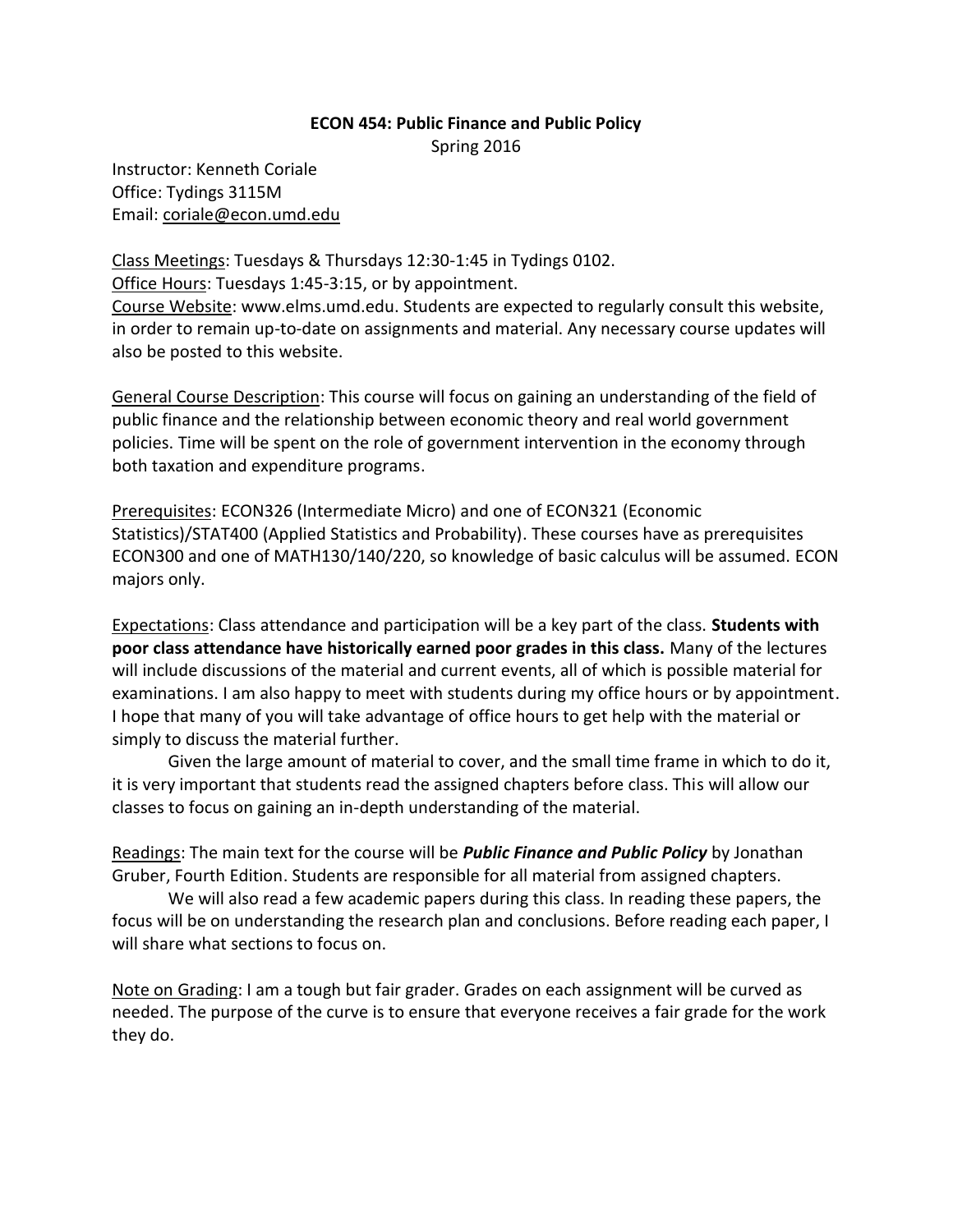## **ECON 454: Public Finance and Public Policy**

Spring 2016

Instructor: Kenneth Coriale Office: Tydings 3115M Email: coriale@econ.umd.edu

Class Meetings: Tuesdays & Thursdays 12:30-1:45 in Tydings 0102. Office Hours: Tuesdays 1:45-3:15, or by appointment. Course Website: www.elms.umd.edu. Students are expected to regularly consult this website, in order to remain up-to-date on assignments and material. Any necessary course updates will also be posted to this website.

General Course Description: This course will focus on gaining an understanding of the field of public finance and the relationship between economic theory and real world government policies. Time will be spent on the role of government intervention in the economy through both taxation and expenditure programs.

Prerequisites: ECON326 (Intermediate Micro) and one of ECON321 (Economic Statistics)/STAT400 (Applied Statistics and Probability). These courses have as prerequisites ECON300 and one of MATH130/140/220, so knowledge of basic calculus will be assumed. ECON majors only.

Expectations: Class attendance and participation will be a key part of the class. **Students with poor class attendance have historically earned poor grades in this class.** Many of the lectures will include discussions of the material and current events, all of which is possible material for examinations. I am also happy to meet with students during my office hours or by appointment. I hope that many of you will take advantage of office hours to get help with the material or simply to discuss the material further.

Given the large amount of material to cover, and the small time frame in which to do it, it is very important that students read the assigned chapters before class. This will allow our classes to focus on gaining an in-depth understanding of the material.

Readings: The main text for the course will be *Public Finance and Public Policy* by Jonathan Gruber, Fourth Edition. Students are responsible for all material from assigned chapters.

We will also read a few academic papers during this class. In reading these papers, the focus will be on understanding the research plan and conclusions. Before reading each paper, I will share what sections to focus on.

Note on Grading: I am a tough but fair grader. Grades on each assignment will be curved as needed. The purpose of the curve is to ensure that everyone receives a fair grade for the work they do.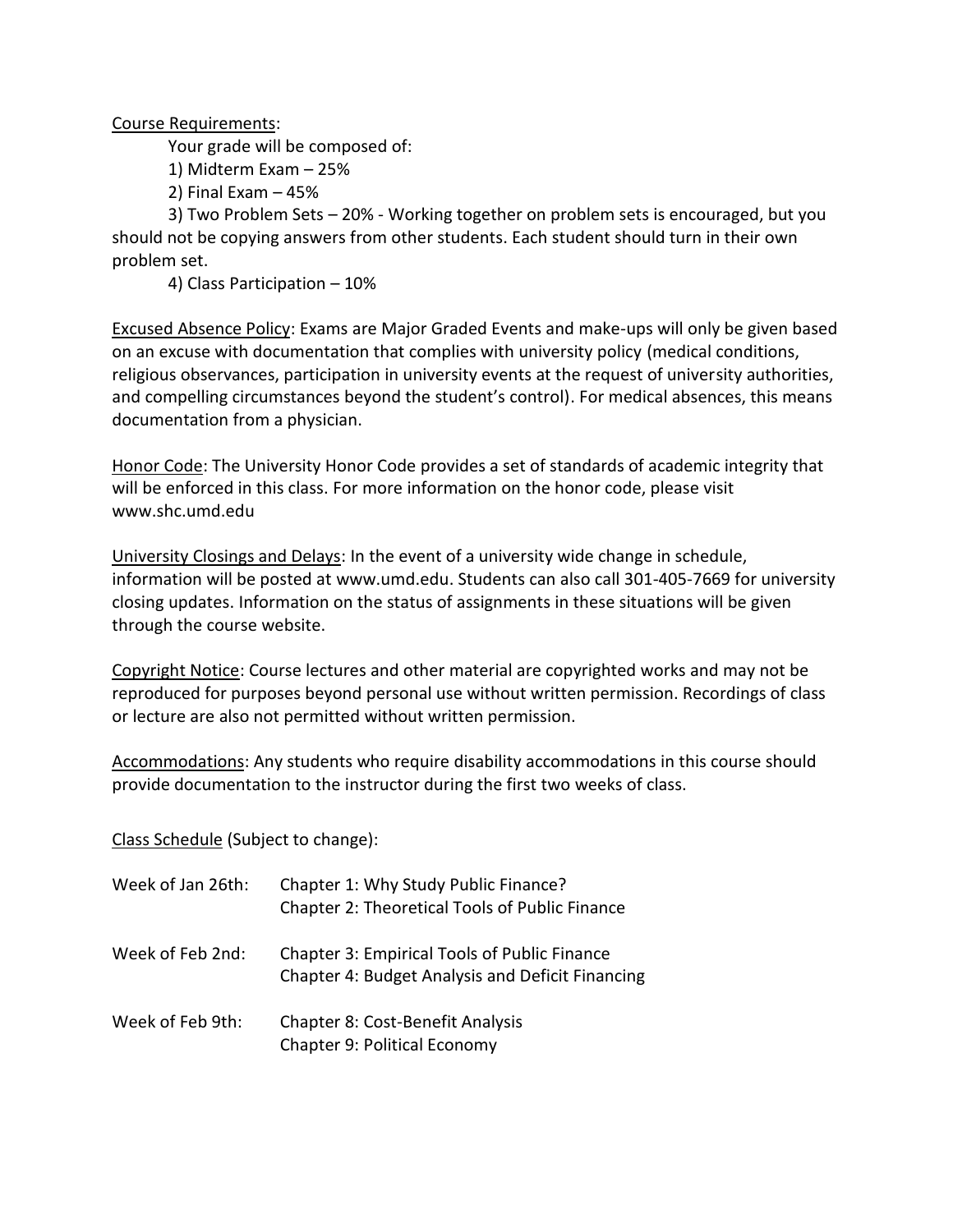Course Requirements:

Your grade will be composed of:

1) Midterm Exam – 25%

2) Final Exam – 45%

3) Two Problem Sets – 20% - Working together on problem sets is encouraged, but you should not be copying answers from other students. Each student should turn in their own problem set.

4) Class Participation – 10%

Excused Absence Policy: Exams are Major Graded Events and make-ups will only be given based on an excuse with documentation that complies with university policy (medical conditions, religious observances, participation in university events at the request of university authorities, and compelling circumstances beyond the student's control). For medical absences, this means documentation from a physician.

Honor Code: The University Honor Code provides a set of standards of academic integrity that will be enforced in this class. For more information on the honor code, please visit www.shc.umd.edu

University Closings and Delays: In the event of a university wide change in schedule, information will be posted at www.umd.edu. Students can also call 301-405-7669 for university closing updates. Information on the status of assignments in these situations will be given through the course website.

Copyright Notice: Course lectures and other material are copyrighted works and may not be reproduced for purposes beyond personal use without written permission. Recordings of class or lecture are also not permitted without written permission.

Accommodations: Any students who require disability accommodations in this course should provide documentation to the instructor during the first two weeks of class.

Class Schedule (Subject to change):

| Week of Jan 26th: | Chapter 1: Why Study Public Finance?<br><b>Chapter 2: Theoretical Tools of Public Finance</b>           |
|-------------------|---------------------------------------------------------------------------------------------------------|
| Week of Feb 2nd:  | <b>Chapter 3: Empirical Tools of Public Finance</b><br>Chapter 4: Budget Analysis and Deficit Financing |
| Week of Feb 9th:  | <b>Chapter 8: Cost-Benefit Analysis</b><br>Chapter 9: Political Economy                                 |